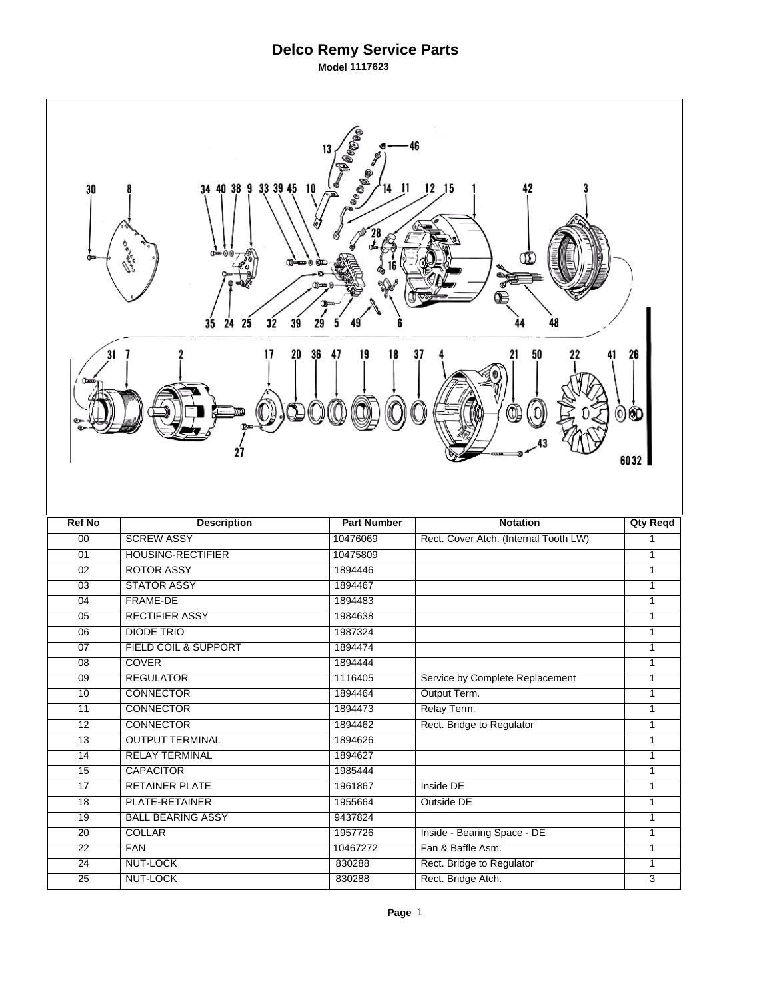## **Delco Remy Service Parts**

**Model 1117623** 

| <b>OCCES</b><br>-46<br>13<br><sup>186</sup> 0.<br>$12$ $15$<br>34 40 38 9 33 39 45 10<br>11<br>42<br>30<br>14.<br>Œ<br>Ф<br>35<br>39<br>25<br>32<br>24<br>48 |                          |                    |                                                 |                                  |  |  |
|--------------------------------------------------------------------------------------------------------------------------------------------------------------|--------------------------|--------------------|-------------------------------------------------|----------------------------------|--|--|
| 31<br>36<br>19<br>20<br>47<br>18<br>37<br>50<br>26<br>17<br>21<br>00<br>27<br>6032                                                                           |                          |                    |                                                 |                                  |  |  |
|                                                                                                                                                              |                          |                    |                                                 |                                  |  |  |
| <b>Ref No</b>                                                                                                                                                | <b>Description</b>       | <b>Part Number</b> | <b>Notation</b>                                 | <b>Qty Reqd</b>                  |  |  |
| 00                                                                                                                                                           | <b>SCREW ASSY</b>        | 10476069           | Rect. Cover Atch. (Internal Tooth LW)           | $\mathbf{1}$                     |  |  |
| 01                                                                                                                                                           | <b>HOUSING-RECTIFIER</b> | 10475809           |                                                 | 1                                |  |  |
| $\overline{02}$                                                                                                                                              | <b>ROTOR ASSY</b>        | 1894446            |                                                 | 1                                |  |  |
| $\overline{03}$                                                                                                                                              | <b>STATOR ASSY</b>       | 1894467            |                                                 | 1                                |  |  |
| 04                                                                                                                                                           | <b>FRAME-DE</b>          | 1894483            |                                                 | 1                                |  |  |
| $\overline{05}$                                                                                                                                              | <b>RECTIFIER ASSY</b>    | 1984638            |                                                 | $\mathbf{1}$                     |  |  |
| 06                                                                                                                                                           | <b>DIODE TRIO</b>        | 1987324            |                                                 | $\mathbf{1}$                     |  |  |
| 07                                                                                                                                                           | FIELD COIL & SUPPORT     | 1894474            |                                                 | 1                                |  |  |
| $\overline{08}$                                                                                                                                              | <b>COVER</b>             | 1894444            |                                                 | 1                                |  |  |
| $\overline{09}$                                                                                                                                              | <b>REGULATOR</b>         | 1116405            | Service by Complete Replacement                 | 1<br>$\mathbf{1}$                |  |  |
| 10                                                                                                                                                           | <b>CONNECTOR</b>         | 1894464            | Output Term.                                    |                                  |  |  |
| 11                                                                                                                                                           | <b>CONNECTOR</b>         | 1894473            | Relay Term.                                     | $\mathbf{1}$                     |  |  |
| 12                                                                                                                                                           | <b>CONNECTOR</b>         | 1894462            | Rect. Bridge to Regulator                       | $\mathbf{1}$                     |  |  |
| $\overline{13}$                                                                                                                                              | <b>OUTPUT TERMINAL</b>   | 1894626            |                                                 | $\mathbf{1}$                     |  |  |
| 14                                                                                                                                                           | <b>RELAY TERMINAL</b>    | 1894627            |                                                 | 1                                |  |  |
| 15                                                                                                                                                           | <b>CAPACITOR</b>         | 1985444            |                                                 | $\overline{1}$<br>$\overline{1}$ |  |  |
| 17                                                                                                                                                           | <b>RETAINER PLATE</b>    | 1961867            | Inside DE                                       |                                  |  |  |
| $\overline{18}$                                                                                                                                              | PLATE-RETAINER           | 1955664            | Outside DE                                      | $\overline{1}$                   |  |  |
| 19                                                                                                                                                           | <b>BALL BEARING ASSY</b> | 9437824            |                                                 | $\overline{1}$                   |  |  |
| $\overline{20}$                                                                                                                                              | <b>COLLAR</b>            | 1957726            | Inside - Bearing Space - DE                     | $\overline{1}$<br>$\mathbf{1}$   |  |  |
| $\overline{22}$                                                                                                                                              | <b>FAN</b>               | 10467272           | Fan & Baffle Asm.                               |                                  |  |  |
| 24<br>$\overline{25}$                                                                                                                                        | NUT-LOCK<br>NUT-LOCK     | 830288<br>830288   | Rect. Bridge to Regulator<br>Rect. Bridge Atch. | $\mathbf{1}$<br>$\overline{3}$   |  |  |